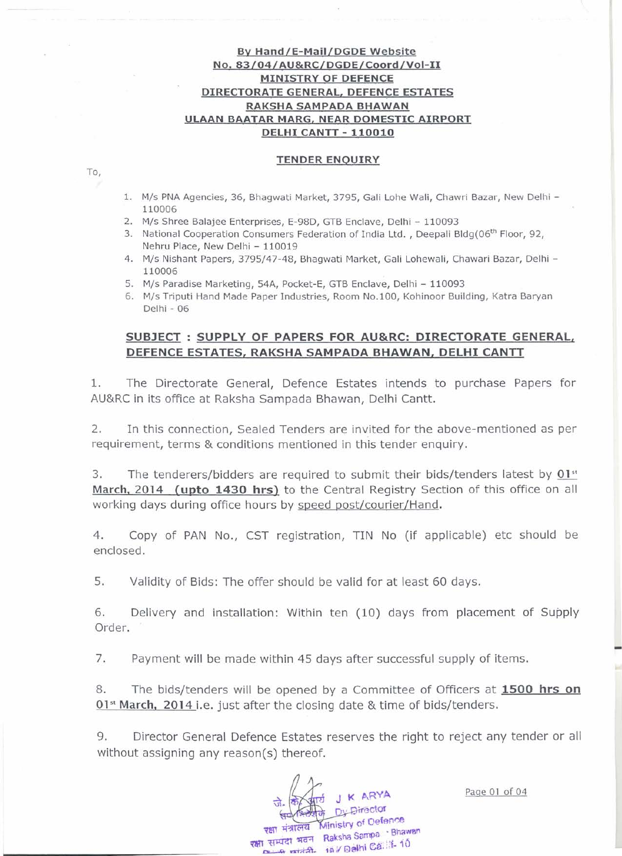## By Hand/E-Mail/DGDE Website No. 83/04/AU&RC/DGDE/Coord/Vol-1l MINISTRY OF DEFENCE DIRECTORATE GENERAL, DEFENCE ESTATES RAKSHA SAMPADA BHAWAN ULAAN BAATAR MARG, NEAR DOMESTIC AIRPORT DELHI CANTT - 110010

### TENDER ENQUIRY

1. M/s PNA Agencies, 36, Bhagwati Market, 3795, Gali Lohe Wali, Chawri Bazar, New Delhi - 110006

- 2. M/s Shree Balajee Enterprises, E-98D, GTB Enclave, Delhi 110093
- 3. National Cooperation Consumers Federation of India Ltd., Deepali Bldg(06<sup>th</sup> Floor, 92, Nehru Place, New Delhi - 110019
- 4. M/s Nishant Papers, 3795/47-48, Bhagwati Market, Gali Lohewali, Chawari Bazar, Delhi 110006
- 5. M/s Paradise Marketing, 54A, Pocket-E, GTB Enclave, Delhi 110093
- 6. M/s Triputi Hand Made Paper Industries, Room No.100, Kohinoor Building, Katra Baryan Delhi - 06

# SUBJECT: SUPPLY OF PAPERS FOR AU&RC: DIRECTORATE GENERAL, DEFENCE ESTATES, RAKSHA SAMPADA BHAWAN, DELHI CANTT

1. The Directorate General, Defence Estates intends to purchase Papers for AU&RC in its office at Raksha Sampada Bhawan, Delhi Cantt.

2. In this connection, Sealed Tenders are invited for the above-mentioned as per requirement, terms & conditions mentioned in this tender enquiry.

3. The tenderers/bidders are required to submit their bids/tenders latest by  $01<sup>st</sup>$ March, 2014 (upto 1430 hrs) to the Central Registry Section of this office on all working days during office hours by speed post/courier/Hand.

4. Copy of PAN No., CST registration, TIN No (if applicable) etc should be enclosed.

5. Validity of Bids: The offer should be valid for at least 60 days.

6. Delivery and installation: Within ten (10) days from placement of Supply Order.

7. Payment will be made within 45 days after successful supply of items.

8. The bids/tenders will be opened by a Committee of Officers at 1500 hrs on 01<sup>st</sup> March, 2014 i.e. just after the closing date & time of bids/tenders.

9. Director General Defence Estates reserves the right to reject any tender or all without assigning any reason(s) thereof.

J K ARYA Dy Director रक्षा मंत्रालय Ministry of Defence रक्षा सम्पदा भवन Raksha Sampa · Bhawan **16 A 16 A** Delhi Ca: :: 10

Page 01 of 04

To,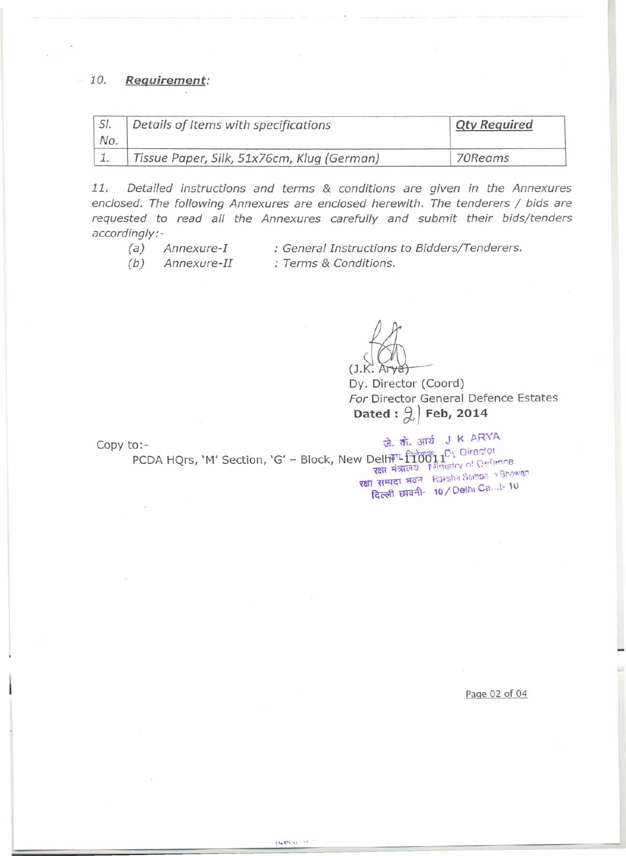## *10. Requirement:*

| SI.<br>No. | Details of Items with specifications       | <b>Qty Required</b> |
|------------|--------------------------------------------|---------------------|
|            | Tissue Paper, Silk, 51x76cm, Klug (German) | 70Reams             |

*11. Detailed instructions and terms* & *conditions are given in the Annexures enclosed. The following Annexures are enclosed herewith. The tenderers / bids are requested to read all the Annexures carefully and submit their bids/tenders accordingly:-*

- *(a) Annexure-I*
- *: General Instructions to Bidaers/Tenderers.*

*(b) Annexure-II*

*: Terms* & *Conditions.*

 $(J.K.$  Arya

Dy. Director (Coord) *For* Director General Defence Estates Dated :  $\left( \frac{1}{6} \right)$  Feb, 2014

Copy to: -  $\vec{a}$ ,  $\vec{a}$ ,  $\vec{a}$ ,  $\vec{a}$ ,  $\vec{a}$ ,  $\vec{a}$ ,  $\vec{a}$ ,  $\vec{a}$ ,  $\vec{a}$ ,  $\vec{a}$ ,  $\vec{a}$ ,  $\vec{a}$ ,  $\vec{a}$ ,  $\vec{a}$ ,  $\vec{a}$ ,  $\vec{a}$ ,  $\vec{a}$ ,  $\vec{a}$ ,  $\vec{a}$ ,  $\vec{a}$ ,  $\vec{a}$ ,  $\vec{a}$ ,  $\vec{a}$ ,  $\vec$ Private - Dy Directo PCDA HQrs, 'M' Section, 'G' - Block, New Delh<sup>yd</sup>-110011'', of Defence **रक्षा सम्पदा भवन** Raksha Sampa > Bhawan दिल्ली छावनी- 10 / Delhi Ca. .t- 10

**IGOVIL** 

Page 02 of 04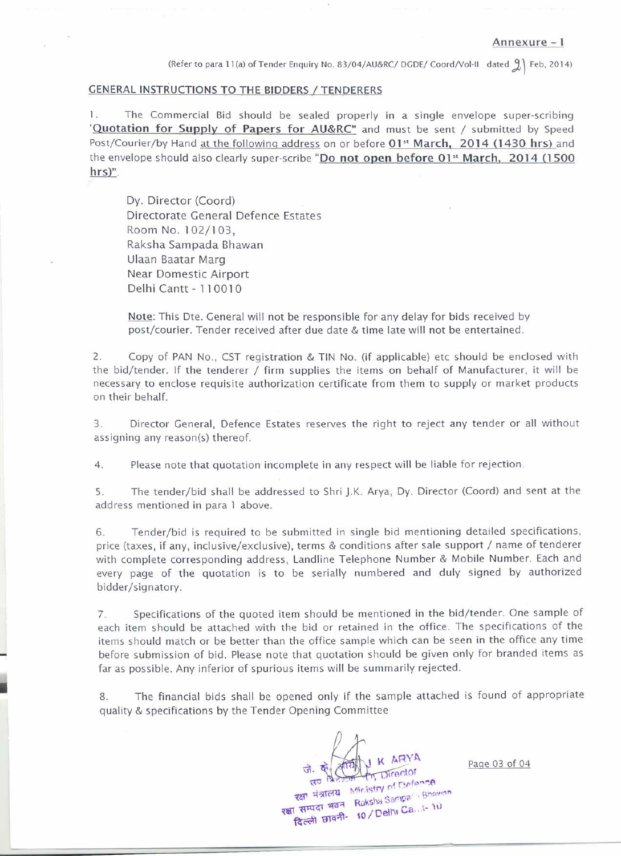(Refer to para 11(a) of Tender Enquiry No. 83/04/AU&RC/ DGDE/ Coord/Vol-II dated 9) Feb, 2014)

#### GENERAL INSTRUCTIONS TO THE BIDDERS / TENDERERS

1. The Commercial Bid should be sealed properly in a single envelope super-scribing 'Quotation for Supply of Papers for AU&RC" and must be sent / submitted by Speed Post/Courier/by Hand at the following address on or before 01<sup>st</sup> March, 2014 (1430 hrs) and the envelope should also clearly super-scribe "Do not open before 01<sup>st</sup> March, 2014 (1500 hrs)".

Dy. Director (Coord) Directorate General Defence Estates Room NO.1 02/1 03, Raksha Sampada Bhawan Ulaan Baatar Marg Near Domestic Airport Delhi Cantt - 110010

Note: This Dte. General will not be responsible for any delay for bids received by post/courier. Tender received after due date & time late will not be entertained.

2. Copy of PAN No., CST registration & TIN No. (if applicable) etc should be enclosed with the bid/tender. If the tenderer / firm supplies the items on behalf of Manufacturer, it will be necessary to enclose requisite authorization certificate from them to supply or market products on their behalf.

3. Director General, Defence Estates reserves the right to reject any tender or all without assigning any reason(s) thereof.

4. Please note that quotation incomplete in any respect will be liable for rejection.

5. The tender/bid shall be addressed to Shri J.K. Arya, Dy. Director (Coord) and sent at the address mentioned in para 1 above.

6. Tender/bid is required to be submitted in single bid mentioning detailed specifications, price (taxes, if any, inclusive/exclusive), terms & conditions after sale support / name of tenderer with complete corresponding address, Landline Telephone Number & Mobile Number. Each and every page of the quotation is to be serially numbered and duly signed by authorized bidder/signatory.

7. Specifications of the quoted item should be mentioned in the bid/tender. One sample of each item should be attached with the bid or retained in the office. The specifications of the items should match or be better than the office sample which can be seen in the office any time before submission of bid. Please note that quotation should be given only for branded items as far as possible. Any inferior of spurious items will be summarily rejected.

8. The financial bids shall be opened only if the sample attached is found of appropriate quality & specifications by the Tender Opening Committee

जे. के स्वीर K ARYA **RET AVENUE Ministry of Defence** रक्षा मंत्रालय Ministry of University<br>रक्षा सम्पदा भवन Ruksha Sampa Shawron सम्पदा भवन Raksha Sange<br>दिल्ली छावनी- 10 / Delhi Ca...t- 10

Page 03 of 04